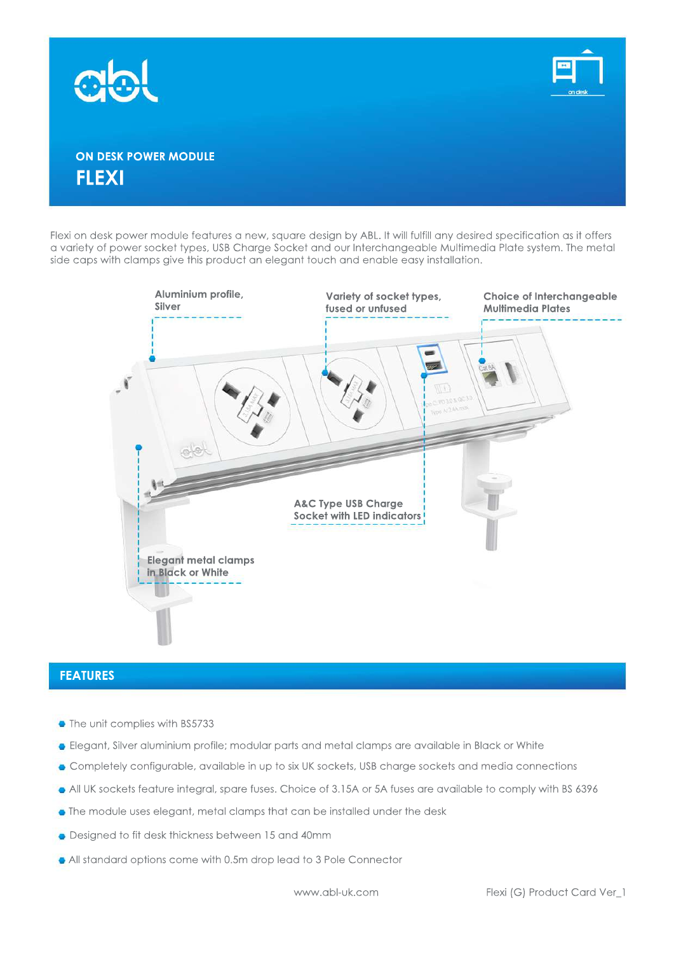



## **ON DESK POWER MODULE FLEXI**

Flexi on desk power module features a new, square design by ABL. It will fulfill any desired specification as it offers a variety of power socket types, USB Charge Socket and our Interchangeable Multimedia Plate system. The metal side caps with clamps give this product an elegant touch and enable easy installation.



#### **FEATURES**

- The unit complies with BS5733
- **•** Elegant, Silver aluminium profile; modular parts and metal clamps are available in Black or White
- Completely configurable, available in up to six UK sockets, USB charge sockets and media connections
- All UK sockets feature integral, spare fuses. Choice of 3.15A or 5A fuses are available to comply with BS 6396
- The module uses elegant, metal clamps that can be installed under the desk
- Designed to fit desk thickness between 15 and 40mm
- All standard options come with 0.5m drop lead to 3 Pole Connector

www.abl-uk.com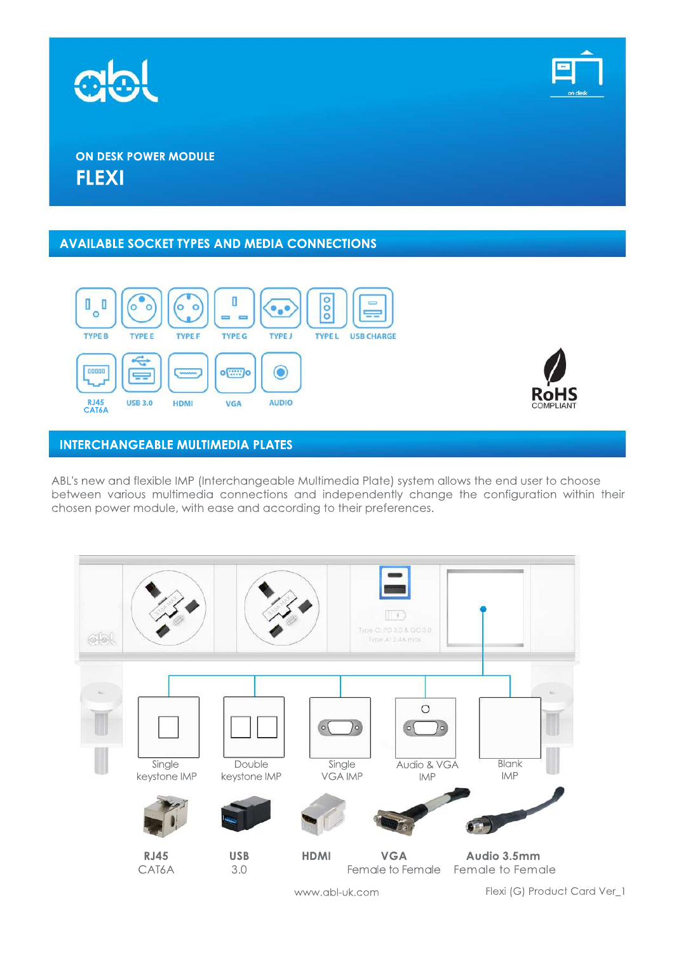



## **ON DESK POWER MODULE FLEXI**

#### **AVAILABLE SOCKET TYPES AND MEDIA CONNECTIONS**





#### **INTERCHANGEABLE MULTIMEDIA PLATES**

ABL's new and flexible IMP (Interchangeable Multimedia Plate) system allows the end user to choose between various multimedia connections and independently change the configuration within their chosen power module, with ease and according to their preferences.